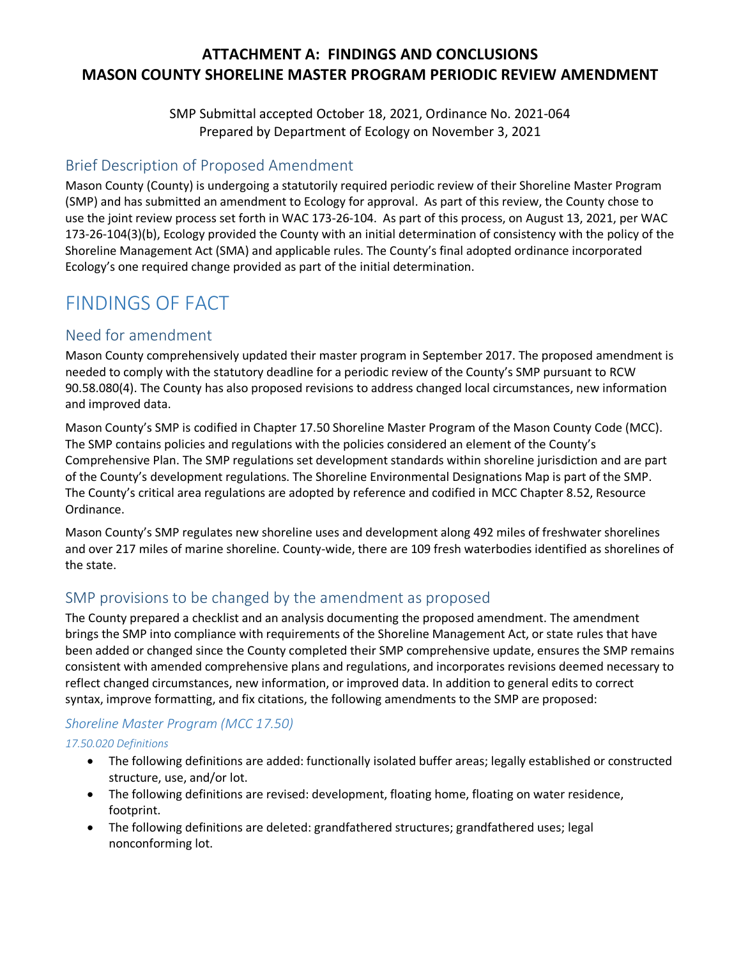# **ATTACHMENT A: FINDINGS AND CONCLUSIONS MASON COUNTY SHORELINE MASTER PROGRAM PERIODIC REVIEW AMENDMENT**

SMP Submittal accepted October 18, 2021, Ordinance No. 2021-064 Prepared by Department of Ecology on November 3, 2021

# Brief Description of Proposed Amendment

Mason County (County) is undergoing a statutorily required periodic review of their Shoreline Master Program (SMP) and has submitted an amendment to Ecology for approval. As part of this review, the County chose to use the joint review process set forth in WAC 173-26-104. As part of this process, on August 13, 2021, per WAC 173-26-104(3)(b), Ecology provided the County with an initial determination of consistency with the policy of the Shoreline Management Act (SMA) and applicable rules. The County's final adopted ordinance incorporated Ecology's one required change provided as part of the initial determination.

# FINDINGS OF FACT

# Need for amendment

Mason County comprehensively updated their master program in September 2017. The proposed amendment is needed to comply with the statutory deadline for a periodic review of the County's SMP pursuant to RCW 90.58.080(4). The County has also proposed revisions to address changed local circumstances, new information and improved data.

Mason County's SMP is codified in Chapter 17.50 Shoreline Master Program of the Mason County Code (MCC). The SMP contains policies and regulations with the policies considered an element of the County's Comprehensive Plan. The SMP regulations set development standards within shoreline jurisdiction and are part of the County's development regulations. The Shoreline Environmental Designations Map is part of the SMP. The County's critical area regulations are adopted by reference and codified in MCC Chapter 8.52, Resource Ordinance.

Mason County's SMP regulates new shoreline uses and development along 492 miles of freshwater shorelines and over 217 miles of marine shoreline. County-wide, there are 109 fresh waterbodies identified as shorelines of the state.

# SMP provisions to be changed by the amendment as proposed

The County prepared a checklist and an analysis documenting the proposed amendment. The amendment brings the SMP into compliance with requirements of the Shoreline Management Act, or state rules that have been added or changed since the County completed their SMP comprehensive update, ensures the SMP remains consistent with amended comprehensive plans and regulations, and incorporates revisions deemed necessary to reflect changed circumstances, new information, or improved data. In addition to general edits to correct syntax, improve formatting, and fix citations, the following amendments to the SMP are proposed:

#### *Shoreline Master Program (MCC 17.50)*

#### *17.50.020 Definitions*

- The following definitions are added: functionally isolated buffer areas; legally established or constructed structure, use, and/or lot.
- The following definitions are revised: development, floating home, floating on water residence, footprint.
- The following definitions are deleted: grandfathered structures; grandfathered uses; legal nonconforming lot.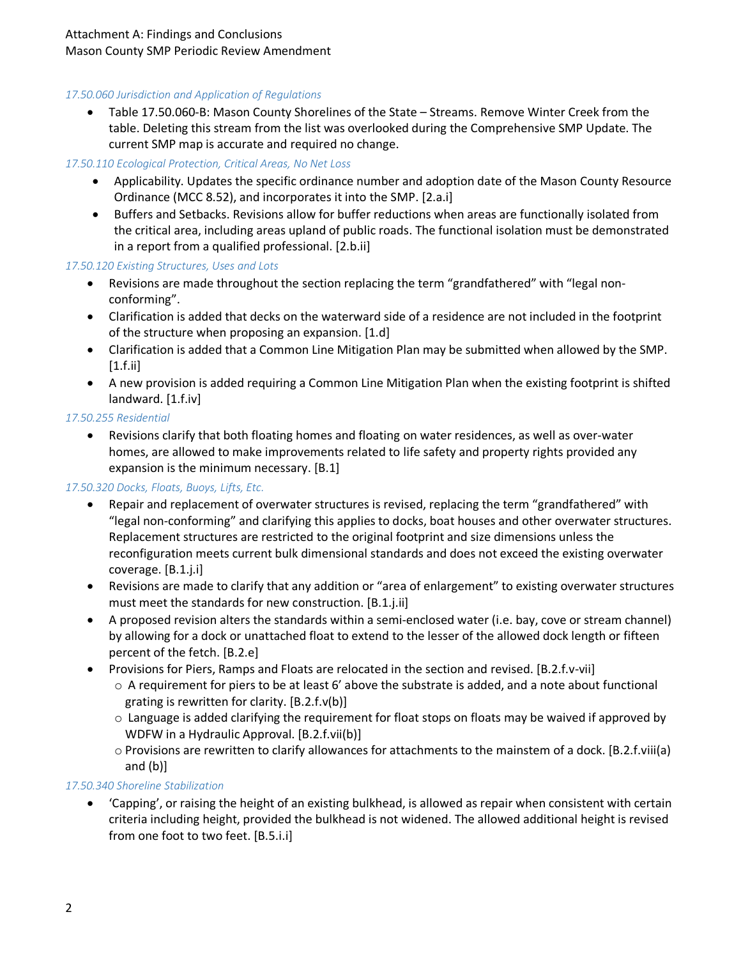# *17.50.060 Jurisdiction and Application of Regulations*

• Table 17.50.060-B: Mason County Shorelines of the State – Streams. Remove Winter Creek from the table. Deleting this stream from the list was overlooked during the Comprehensive SMP Update. The current SMP map is accurate and required no change.

# *17.50.110 Ecological Protection, Critical Areas, No Net Loss*

- Applicability. Updates the specific ordinance number and adoption date of the Mason County Resource Ordinance (MCC 8.52), and incorporates it into the SMP. [2.a.i]
- Buffers and Setbacks. Revisions allow for buffer reductions when areas are functionally isolated from the critical area, including areas upland of public roads. The functional isolation must be demonstrated in a report from a qualified professional. [2.b.ii]

# *17.50.120 Existing Structures, Uses and Lots*

- Revisions are made throughout the section replacing the term "grandfathered" with "legal nonconforming".
- Clarification is added that decks on the waterward side of a residence are not included in the footprint of the structure when proposing an expansion. [1.d]
- Clarification is added that a Common Line Mitigation Plan may be submitted when allowed by the SMP. [1.f.ii]
- A new provision is added requiring a Common Line Mitigation Plan when the existing footprint is shifted landward. [1.f.iv]

#### *17.50.255 Residential*

• Revisions clarify that both floating homes and floating on water residences, as well as over-water homes, are allowed to make improvements related to life safety and property rights provided any expansion is the minimum necessary. [B.1]

#### *17.50.320 Docks, Floats, Buoys, Lifts, Etc.*

- Repair and replacement of overwater structures is revised, replacing the term "grandfathered" with "legal non-conforming" and clarifying this applies to docks, boat houses and other overwater structures. Replacement structures are restricted to the original footprint and size dimensions unless the reconfiguration meets current bulk dimensional standards and does not exceed the existing overwater coverage. [B.1.j.i]
- Revisions are made to clarify that any addition or "area of enlargement" to existing overwater structures must meet the standards for new construction. [B.1.j.ii]
- A proposed revision alters the standards within a semi-enclosed water (i.e. bay, cove or stream channel) by allowing for a dock or unattached float to extend to the lesser of the allowed dock length or fifteen percent of the fetch. [B.2.e]
- Provisions for Piers, Ramps and Floats are relocated in the section and revised. [B.2.f.v-vii]
	- $\circ$  A requirement for piers to be at least 6' above the substrate is added, and a note about functional grating is rewritten for clarity. [B.2.f.v(b)]
	- $\circ$  Language is added clarifying the requirement for float stops on floats may be waived if approved by WDFW in a Hydraulic Approval. [B.2.f.vii(b)]
	- o Provisions are rewritten to clarify allowances for attachments to the mainstem of a dock. [B.2.f.viii(a) and (b)]

#### *17.50.340 Shoreline Stabilization*

• 'Capping', or raising the height of an existing bulkhead, is allowed as repair when consistent with certain criteria including height, provided the bulkhead is not widened. The allowed additional height is revised from one foot to two feet. [B.5.i.i]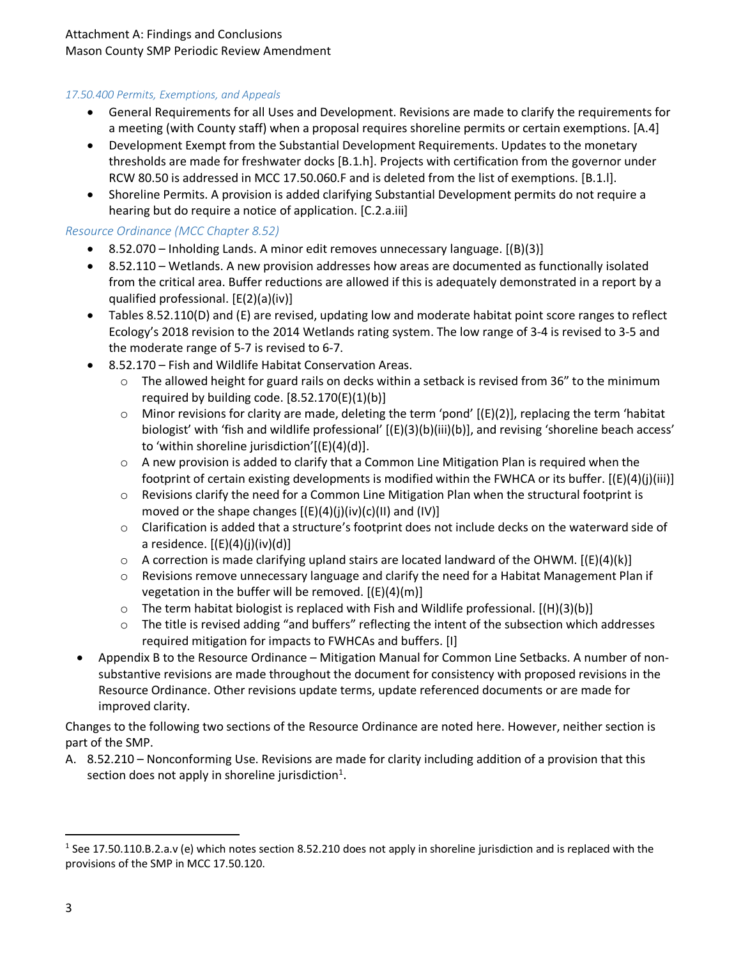## *17.50.400 Permits, Exemptions, and Appeals*

- General Requirements for all Uses and Development. Revisions are made to clarify the requirements for a meeting (with County staff) when a proposal requires shoreline permits or certain exemptions. [A.4]
- Development Exempt from the Substantial Development Requirements. Updates to the monetary thresholds are made for freshwater docks [B.1.h]. Projects with certification from the governor under RCW 80.50 is addressed in MCC 17.50.060.F and is deleted from the list of exemptions. [B.1.l].
- Shoreline Permits. A provision is added clarifying Substantial Development permits do not require a hearing but do require a notice of application. [C.2.a.iii]

#### *Resource Ordinance (MCC Chapter 8.52)*

- 8.52.070 Inholding Lands. A minor edit removes unnecessary language. [(B)(3)]
- 8.52.110 Wetlands. A new provision addresses how areas are documented as functionally isolated from the critical area. Buffer reductions are allowed if this is adequately demonstrated in a report by a qualified professional. [E(2)(a)(iv)]
- Tables 8.52.110(D) and (E) are revised, updating low and moderate habitat point score ranges to reflect Ecology's 2018 revision to the 2014 Wetlands rating system. The low range of 3-4 is revised to 3-5 and the moderate range of 5-7 is revised to 6-7.
- 8.52.170 Fish and Wildlife Habitat Conservation Areas.
	- $\circ$  The allowed height for guard rails on decks within a setback is revised from 36" to the minimum required by building code.  $[8.52.170(E)(1)(b)]$
	- $\circ$  Minor revisions for clarity are made, deleting the term 'pond'  $[(E)(2)]$ , replacing the term 'habitat biologist' with 'fish and wildlife professional' [(E)(3)(b)(iii)(b)], and revising 'shoreline beach access' to 'within shoreline jurisdiction'[(E)(4)(d)].
	- $\circ$  A new provision is added to clarify that a Common Line Mitigation Plan is required when the footprint of certain existing developments is modified within the FWHCA or its buffer. [(E)(4)(j)(iii)]
	- $\circ$  Revisions clarify the need for a Common Line Mitigation Plan when the structural footprint is moved or the shape changes  $[(E)(4)(j)(iv)(c)(11)$  and  $(IV)]$
	- $\circ$  Clarification is added that a structure's footprint does not include decks on the waterward side of a residence.  $[(E)(4)(j)(iv)(d)]$
	- $\circ$  A correction is made clarifying upland stairs are located landward of the OHWM. [(E)(4)(k)]
	- o Revisions remove unnecessary language and clarify the need for a Habitat Management Plan if vegetation in the buffer will be removed.  $[(E)(4)(m)]$
	- $\circ$  The term habitat biologist is replaced with Fish and Wildlife professional. [(H)(3)(b)]
	- $\circ$  The title is revised adding "and buffers" reflecting the intent of the subsection which addresses required mitigation for impacts to FWHCAs and buffers. [I]
- Appendix B to the Resource Ordinance Mitigation Manual for Common Line Setbacks. A number of nonsubstantive revisions are made throughout the document for consistency with proposed revisions in the Resource Ordinance. Other revisions update terms, update referenced documents or are made for improved clarity.

Changes to the following two sections of the Resource Ordinance are noted here. However, neither section is part of the SMP.

A. 8.52.210 – Nonconforming Use. Revisions are made for clarity including addition of a provision that this section does not apply in shoreline jurisdiction<sup>[1](#page-2-0)</sup>.

<span id="page-2-0"></span><sup>&</sup>lt;sup>1</sup> See 17.50.110.B.2.a.v (e) which notes section 8.52.210 does not apply in shoreline jurisdiction and is replaced with the provisions of the SMP in MCC 17.50.120.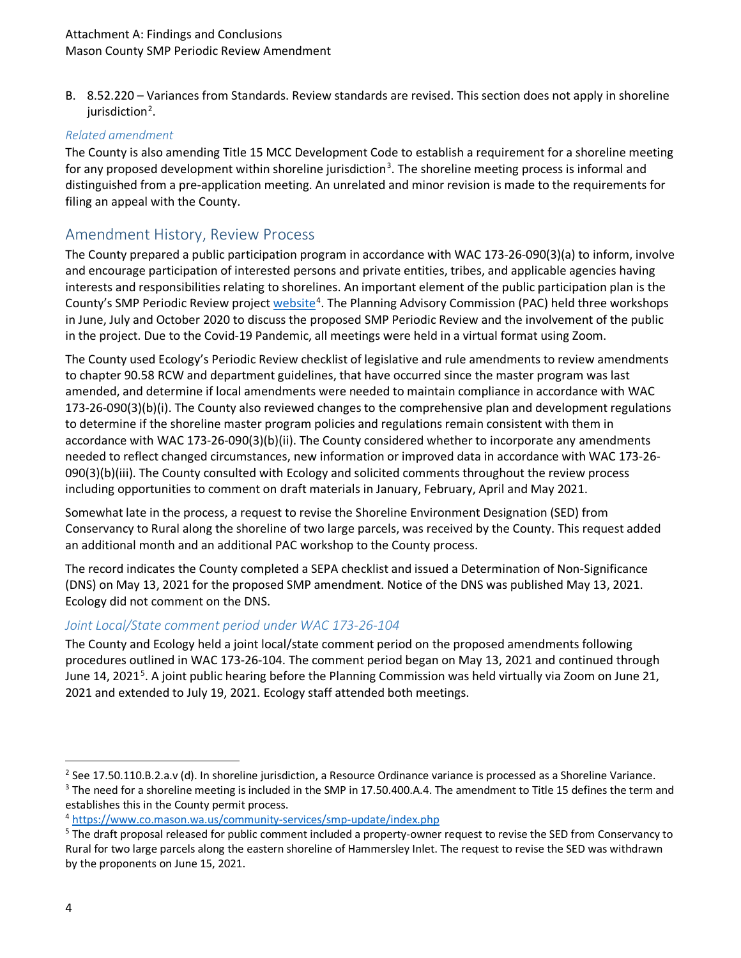B. 8.52.220 – Variances from Standards. Review standards are revised. This section does not apply in shoreline jurisdiction<sup>[2](#page-3-0)</sup>.

#### *Related amendment*

The County is also amending Title 15 MCC Development Code to establish a requirement for a shoreline meeting for any proposed development within shoreline jurisdiction<sup>[3](#page-3-1)</sup>. The shoreline meeting process is informal and distinguished from a pre-application meeting. An unrelated and minor revision is made to the requirements for filing an appeal with the County.

# Amendment History, Review Process

The County prepared a public participation program in accordance with WAC 173-26-090(3)(a) to inform, involve and encourage participation of interested persons and private entities, tribes, and applicable agencies having interests and responsibilities relating to shorelines. An important element of the public participation plan is the County's SMP Periodic Review project [website](https://www.co.mason.wa.us/community-services/smp-update/index.php)<sup>[4](#page-3-2)</sup>. The Planning Advisory Commission (PAC) held three workshops in June, July and October 2020 to discuss the proposed SMP Periodic Review and the involvement of the public in the project. Due to the Covid-19 Pandemic, all meetings were held in a virtual format using Zoom.

The County used Ecology's Periodic Review checklist of legislative and rule amendments to review amendments to chapter 90.58 RCW and department guidelines, that have occurred since the master program was last amended, and determine if local amendments were needed to maintain compliance in accordance with WAC 173-26-090(3)(b)(i). The County also reviewed changes to the comprehensive plan and development regulations to determine if the shoreline master program policies and regulations remain consistent with them in accordance with WAC 173-26-090(3)(b)(ii). The County considered whether to incorporate any amendments needed to reflect changed circumstances, new information or improved data in accordance with WAC 173-26- 090(3)(b)(iii). The County consulted with Ecology and solicited comments throughout the review process including opportunities to comment on draft materials in January, February, April and May 2021.

Somewhat late in the process, a request to revise the Shoreline Environment Designation (SED) from Conservancy to Rural along the shoreline of two large parcels, was received by the County. This request added an additional month and an additional PAC workshop to the County process.

The record indicates the County completed a SEPA checklist and issued a Determination of Non-Significance (DNS) on May 13, 2021 for the proposed SMP amendment. Notice of the DNS was published May 13, 2021. Ecology did not comment on the DNS.

#### *Joint Local/State comment period under WAC 173-26-104*

The County and Ecology held a joint local/state comment period on the proposed amendments following procedures outlined in WAC 173-26-104. The comment period began on May 13, 2021 and continued through June 14, 2021<sup>[5](#page-3-3)</sup>. A joint public hearing before the Planning Commission was held virtually via Zoom on June 21, 2021 and extended to July 19, 2021. Ecology staff attended both meetings.

<span id="page-3-0"></span> $2$  See 17.50.110.B.2.a.v (d). In shoreline jurisdiction, a Resource Ordinance variance is processed as a Shoreline Variance.

<span id="page-3-1"></span><sup>&</sup>lt;sup>3</sup> The need for a shoreline meeting is included in the SMP in 17.50.400.A.4. The amendment to Title 15 defines the term and establishes this in the County permit process.

<span id="page-3-2"></span><sup>4</sup> <https://www.co.mason.wa.us/community-services/smp-update/index.php>

<span id="page-3-3"></span><sup>&</sup>lt;sup>5</sup> The draft proposal released for public comment included a property-owner request to revise the SED from Conservancy to Rural for two large parcels along the eastern shoreline of Hammersley Inlet. The request to revise the SED was withdrawn by the proponents on June 15, 2021.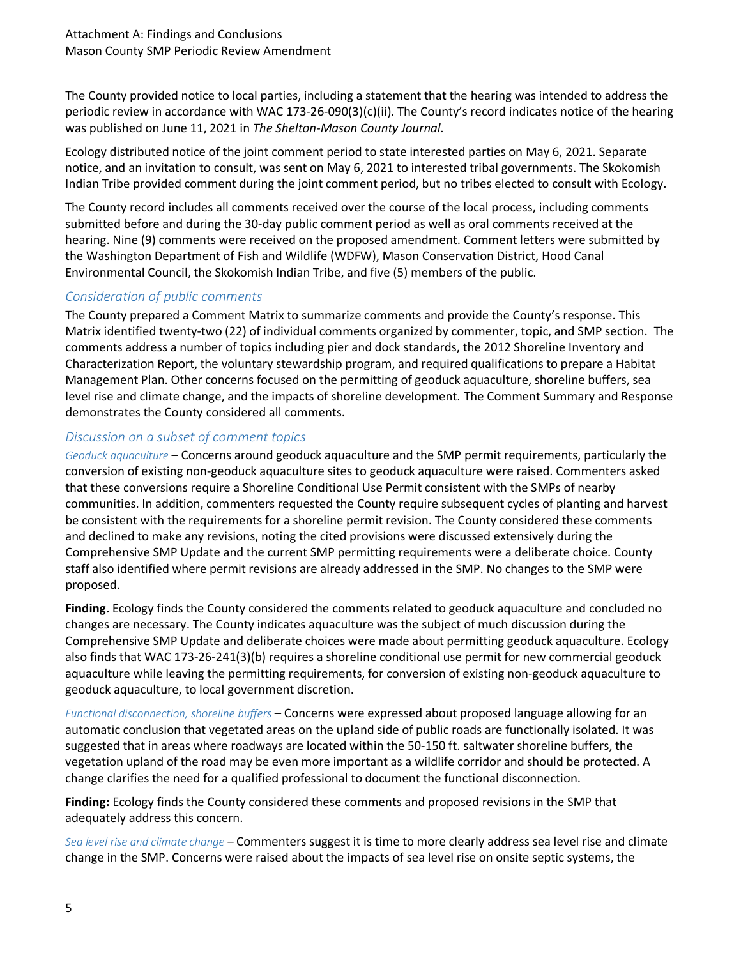The County provided notice to local parties, including a statement that the hearing was intended to address the periodic review in accordance with WAC 173-26-090(3)(c)(ii). The County's record indicates notice of the hearing was published on June 11, 2021 in *The Shelton-Mason County Journal*.

Ecology distributed notice of the joint comment period to state interested parties on May 6, 2021. Separate notice, and an invitation to consult, was sent on May 6, 2021 to interested tribal governments. The Skokomish Indian Tribe provided comment during the joint comment period, but no tribes elected to consult with Ecology.

The County record includes all comments received over the course of the local process, including comments submitted before and during the 30-day public comment period as well as oral comments received at the hearing. Nine (9) comments were received on the proposed amendment. Comment letters were submitted by the Washington Department of Fish and Wildlife (WDFW), Mason Conservation District, Hood Canal Environmental Council, the Skokomish Indian Tribe, and five (5) members of the public.

# *Consideration of public comments*

The County prepared a Comment Matrix to summarize comments and provide the County's response. This Matrix identified twenty-two (22) of individual comments organized by commenter, topic, and SMP section. The comments address a number of topics including pier and dock standards, the 2012 Shoreline Inventory and Characterization Report, the voluntary stewardship program, and required qualifications to prepare a Habitat Management Plan. Other concerns focused on the permitting of geoduck aquaculture, shoreline buffers, sea level rise and climate change, and the impacts of shoreline development. The Comment Summary and Response demonstrates the County considered all comments.

#### *Discussion on a subset of comment topics*

*Geoduck aquaculture* – Concerns around geoduck aquaculture and the SMP permit requirements, particularly the conversion of existing non-geoduck aquaculture sites to geoduck aquaculture were raised. Commenters asked that these conversions require a Shoreline Conditional Use Permit consistent with the SMPs of nearby communities. In addition, commenters requested the County require subsequent cycles of planting and harvest be consistent with the requirements for a shoreline permit revision. The County considered these comments and declined to make any revisions, noting the cited provisions were discussed extensively during the Comprehensive SMP Update and the current SMP permitting requirements were a deliberate choice. County staff also identified where permit revisions are already addressed in the SMP. No changes to the SMP were proposed.

**Finding.** Ecology finds the County considered the comments related to geoduck aquaculture and concluded no changes are necessary. The County indicates aquaculture was the subject of much discussion during the Comprehensive SMP Update and deliberate choices were made about permitting geoduck aquaculture. Ecology also finds that WAC 173-26-241(3)(b) requires a shoreline conditional use permit for new commercial geoduck aquaculture while leaving the permitting requirements, for conversion of existing non-geoduck aquaculture to geoduck aquaculture, to local government discretion.

*Functional disconnection, shoreline buffers* – Concerns were expressed about proposed language allowing for an automatic conclusion that vegetated areas on the upland side of public roads are functionally isolated. It was suggested that in areas where roadways are located within the 50-150 ft. saltwater shoreline buffers, the vegetation upland of the road may be even more important as a wildlife corridor and should be protected. A change clarifies the need for a qualified professional to document the functional disconnection.

**Finding:** Ecology finds the County considered these comments and proposed revisions in the SMP that adequately address this concern.

*Sea level rise and climate change* – Commenters suggest it is time to more clearly address sea level rise and climate change in the SMP. Concerns were raised about the impacts of sea level rise on onsite septic systems, the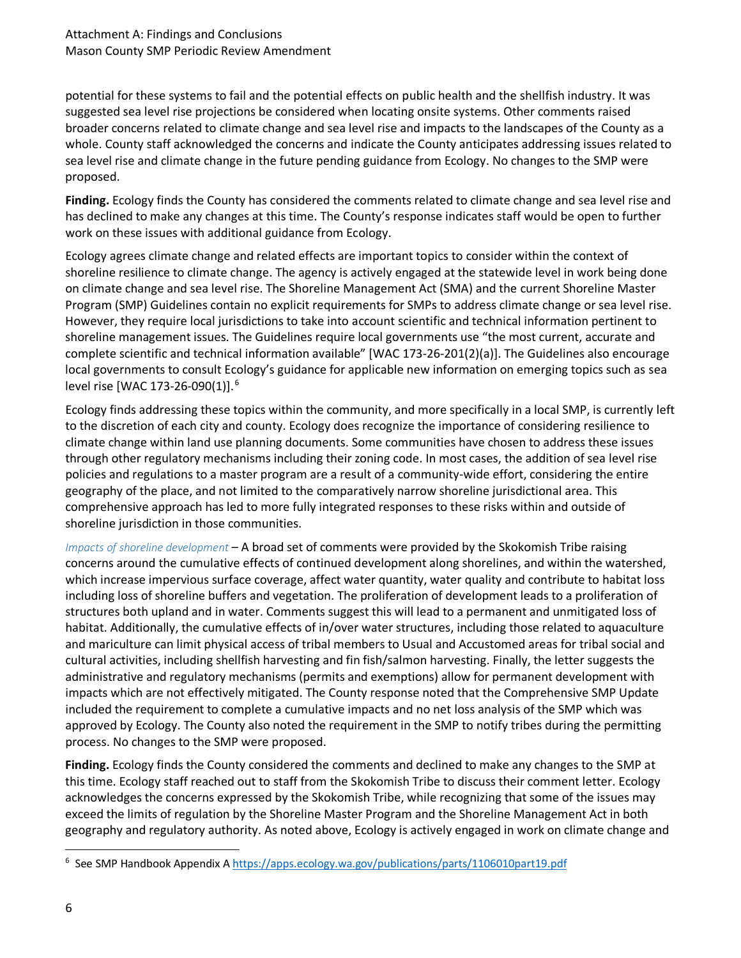potential for these systems to fail and the potential effects on public health and the shellfish industry. It was suggested sea level rise projections be considered when locating onsite systems. Other comments raised broader concerns related to climate change and sea level rise and impacts to the landscapes of the County as a whole. County staff acknowledged the concerns and indicate the County anticipates addressing issues related to sea level rise and climate change in the future pending guidance from Ecology. No changes to the SMP were proposed.

**Finding.** Ecology finds the County has considered the comments related to climate change and sea level rise and has declined to make any changes at this time. The County's response indicates staff would be open to further work on these issues with additional guidance from Ecology.

Ecology agrees climate change and related effects are important topics to consider within the context of shoreline resilience to climate change. The agency is actively engaged at the statewide level in work being done on climate change and sea level rise. The Shoreline Management Act (SMA) and the current Shoreline Master Program (SMP) Guidelines contain no explicit requirements for SMPs to address climate change or sea level rise. However, they require local jurisdictions to take into account scientific and technical information pertinent to shoreline management issues. The Guidelines require local governments use "the most current, accurate and complete scientific and technical information available" [WAC 173-26-201(2)(a)]. The Guidelines also encourage local governments to consult Ecology's guidance for applicable new information on emerging topics such as sea level rise [WAC 173-2[6](#page-5-0)-090(1)].<sup>6</sup>

Ecology finds addressing these topics within the community, and more specifically in a local SMP, is currently left to the discretion of each city and county. Ecology does recognize the importance of considering resilience to climate change within land use planning documents. Some communities have chosen to address these issues through other regulatory mechanisms including their zoning code. In most cases, the addition of sea level rise policies and regulations to a master program are a result of a community-wide effort, considering the entire geography of the place, and not limited to the comparatively narrow shoreline jurisdictional area. This comprehensive approach has led to more fully integrated responses to these risks within and outside of shoreline jurisdiction in those communities.

*Impacts of shoreline development* – A broad set of comments were provided by the Skokomish Tribe raising concerns around the cumulative effects of continued development along shorelines, and within the watershed, which increase impervious surface coverage, affect water quantity, water quality and contribute to habitat loss including loss of shoreline buffers and vegetation. The proliferation of development leads to a proliferation of structures both upland and in water. Comments suggest this will lead to a permanent and unmitigated loss of habitat. Additionally, the cumulative effects of in/over water structures, including those related to aquaculture and mariculture can limit physical access of tribal members to Usual and Accustomed areas for tribal social and cultural activities, including shellfish harvesting and fin fish/salmon harvesting. Finally, the letter suggests the administrative and regulatory mechanisms (permits and exemptions) allow for permanent development with impacts which are not effectively mitigated. The County response noted that the Comprehensive SMP Update included the requirement to complete a cumulative impacts and no net loss analysis of the SMP which was approved by Ecology. The County also noted the requirement in the SMP to notify tribes during the permitting process. No changes to the SMP were proposed.

**Finding.** Ecology finds the County considered the comments and declined to make any changes to the SMP at this time. Ecology staff reached out to staff from the Skokomish Tribe to discuss their comment letter. Ecology acknowledges the concerns expressed by the Skokomish Tribe, while recognizing that some of the issues may exceed the limits of regulation by the Shoreline Master Program and the Shoreline Management Act in both geography and regulatory authority. As noted above, Ecology is actively engaged in work on climate change and

<span id="page-5-0"></span> <sup>6</sup>  $6$  See SMP Handbook Appendix [A https://apps.ecology.wa.gov/publications/parts/1106010part19.pdf](https://apps.ecology.wa.gov/publications/parts/1106010part19.pdf)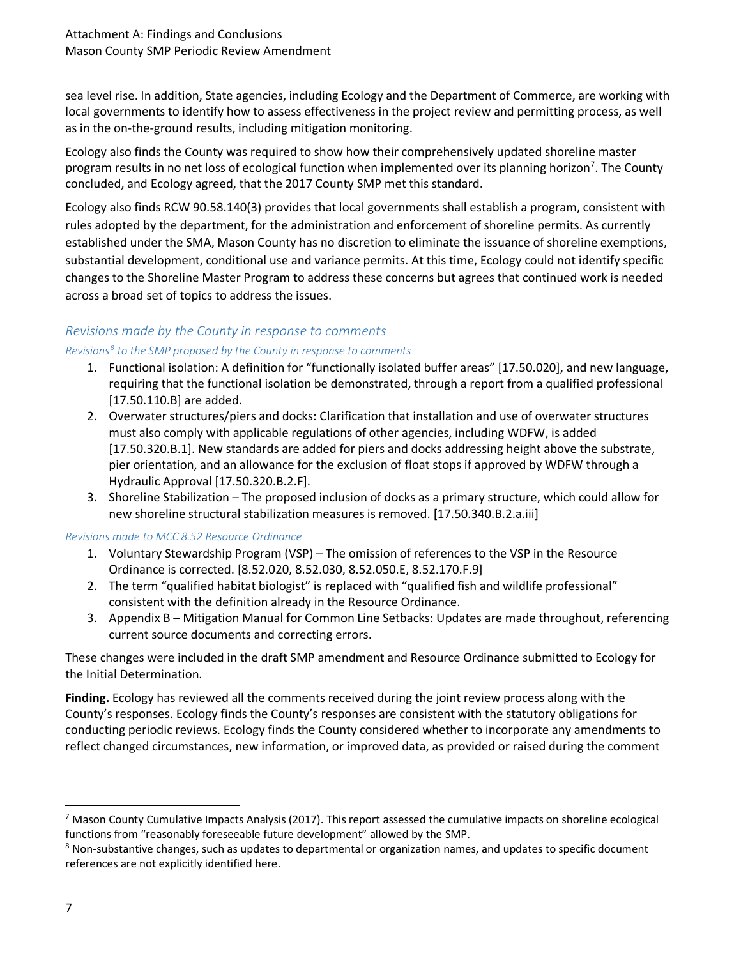sea level rise. In addition, State agencies, including Ecology and the Department of Commerce, are working with local governments to identify how to assess effectiveness in the project review and permitting process, as well as in the on-the-ground results, including mitigation monitoring.

Ecology also finds the County was required to show how their comprehensively updated shoreline master program results in no net loss of ecological function when implemented over its planning horizon<sup>[7](#page-6-0)</sup>. The County concluded, and Ecology agreed, that the 2017 County SMP met this standard.

Ecology also finds RCW 90.58.140(3) provides that local governments shall establish a program, consistent with rules adopted by the department, for the administration and enforcement of shoreline permits. As currently established under the SMA, Mason County has no discretion to eliminate the issuance of shoreline exemptions, substantial development, conditional use and variance permits. At this time, Ecology could not identify specific changes to the Shoreline Master Program to address these concerns but agrees that continued work is needed across a broad set of topics to address the issues.

#### *Revisions made by the County in response to comments*

#### *Revisions[8](#page-6-1) to the SMP proposed by the County in response to comments*

- 1. Functional isolation: A definition for "functionally isolated buffer areas" [17.50.020], and new language, requiring that the functional isolation be demonstrated, through a report from a qualified professional [17.50.110.B] are added.
- 2. Overwater structures/piers and docks: Clarification that installation and use of overwater structures must also comply with applicable regulations of other agencies, including WDFW, is added [17.50.320.B.1]. New standards are added for piers and docks addressing height above the substrate, pier orientation, and an allowance for the exclusion of float stops if approved by WDFW through a Hydraulic Approval [17.50.320.B.2.F].
- 3. Shoreline Stabilization The proposed inclusion of docks as a primary structure, which could allow for new shoreline structural stabilization measures is removed. [17.50.340.B.2.a.iii]

*Revisions made to MCC 8.52 Resource Ordinance*

- 1. Voluntary Stewardship Program (VSP) The omission of references to the VSP in the Resource Ordinance is corrected. [8.52.020, 8.52.030, 8.52.050.E, 8.52.170.F.9]
- 2. The term "qualified habitat biologist" is replaced with "qualified fish and wildlife professional" consistent with the definition already in the Resource Ordinance.
- 3. Appendix B Mitigation Manual for Common Line Setbacks: Updates are made throughout, referencing current source documents and correcting errors.

These changes were included in the draft SMP amendment and Resource Ordinance submitted to Ecology for the Initial Determination.

**Finding.** Ecology has reviewed all the comments received during the joint review process along with the County's responses. Ecology finds the County's responses are consistent with the statutory obligations for conducting periodic reviews. Ecology finds the County considered whether to incorporate any amendments to reflect changed circumstances, new information, or improved data, as provided or raised during the comment

<span id="page-6-0"></span> $<sup>7</sup>$  Mason County Cumulative Impacts Analysis (2017). This report assessed the cumulative impacts on shoreline ecological</sup> functions from "reasonably foreseeable future development" allowed by the SMP.

<span id="page-6-1"></span><sup>8</sup> Non-substantive changes, such as updates to departmental or organization names, and updates to specific document references are not explicitly identified here.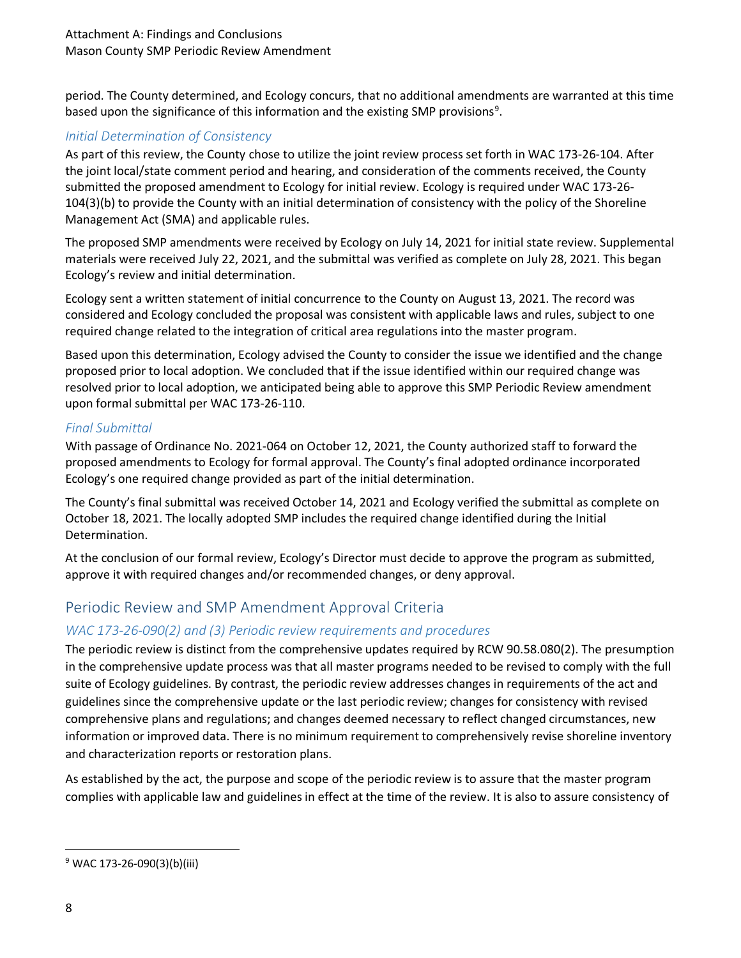period. The County determined, and Ecology concurs, that no additional amendments are warranted at this time based upon the significance of this information and the existing SMP provisions<sup>[9](#page-7-0)</sup>.

# *Initial Determination of Consistency*

As part of this review, the County chose to utilize the joint review process set forth in WAC 173-26-104. After the joint local/state comment period and hearing, and consideration of the comments received, the County submitted the proposed amendment to Ecology for initial review. Ecology is required under WAC 173-26- 104(3)(b) to provide the County with an initial determination of consistency with the policy of the Shoreline Management Act (SMA) and applicable rules.

The proposed SMP amendments were received by Ecology on July 14, 2021 for initial state review. Supplemental materials were received July 22, 2021, and the submittal was verified as complete on July 28, 2021. This began Ecology's review and initial determination.

Ecology sent a written statement of initial concurrence to the County on August 13, 2021. The record was considered and Ecology concluded the proposal was consistent with applicable laws and rules, subject to one required change related to the integration of critical area regulations into the master program.

Based upon this determination, Ecology advised the County to consider the issue we identified and the change proposed prior to local adoption. We concluded that if the issue identified within our required change was resolved prior to local adoption, we anticipated being able to approve this SMP Periodic Review amendment upon formal submittal per WAC 173-26-110.

## *Final Submittal*

With passage of Ordinance No. 2021-064 on October 12, 2021, the County authorized staff to forward the proposed amendments to Ecology for formal approval. The County's final adopted ordinance incorporated Ecology's one required change provided as part of the initial determination.

The County's final submittal was received October 14, 2021 and Ecology verified the submittal as complete on October 18, 2021. The locally adopted SMP includes the required change identified during the Initial Determination.

At the conclusion of our formal review, Ecology's Director must decide to approve the program as submitted, approve it with required changes and/or recommended changes, or deny approval.

# Periodic Review and SMP Amendment Approval Criteria

# *WAC 173-26-090(2) and (3) Periodic review requirements and procedures*

The periodic review is distinct from the comprehensive updates required by RCW [90.58.080\(](http://app.leg.wa.gov/RCW/default.aspx?cite=90.58.080)2). The presumption in the comprehensive update process was that all master programs needed to be revised to comply with the full suite of Ecology guidelines. By contrast, the periodic review addresses changes in requirements of the act and guidelines since the comprehensive update or the last periodic review; changes for consistency with revised comprehensive plans and regulations; and changes deemed necessary to reflect changed circumstances, new information or improved data. There is no minimum requirement to comprehensively revise shoreline inventory and characterization reports or restoration plans.

As established by the act, the purpose and scope of the periodic review is to assure that the master program complies with applicable law and guidelines in effect at the time of the review. It is also to assure consistency of

<span id="page-7-0"></span> $9$  WAC 173-26-090(3)(b)(iii)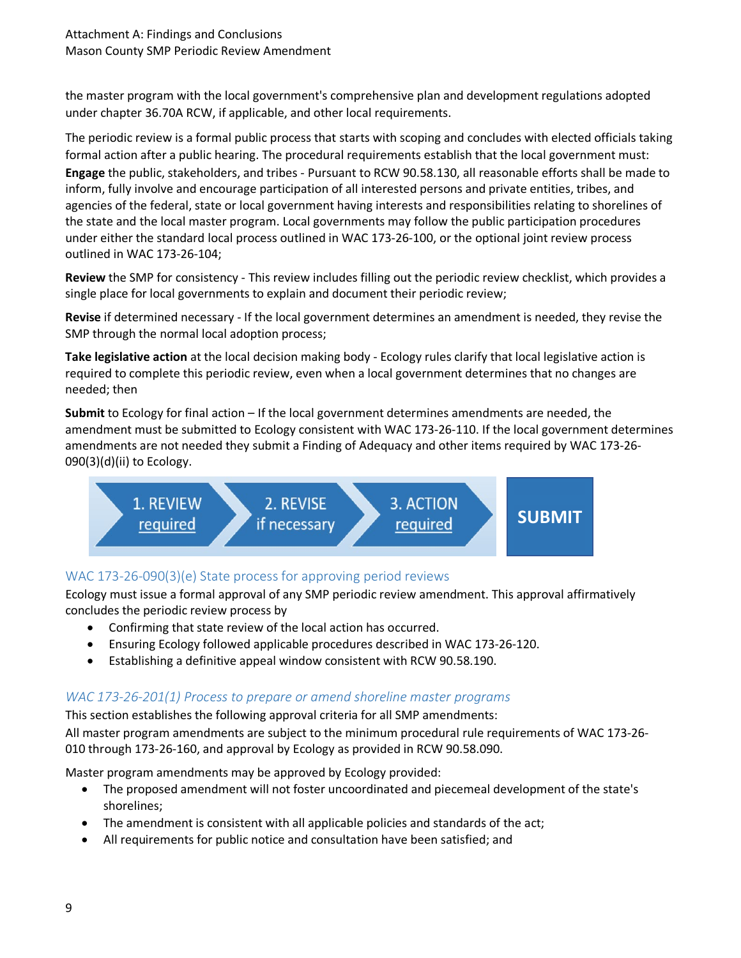the master program with the local government's comprehensive plan and development regulations adopted under chapter 36.70A RCW, if applicable, and other local requirements.

The periodic review is a formal public process that starts with scoping and concludes with elected officials taking formal action after a public hearing. The procedural requirements establish that the local government must: **Engage** the public, stakeholders, and tribes - Pursuant to RCW [90.58.130,](http://app.leg.wa.gov/RCW/default.aspx?cite=90.58.130) all reasonable efforts shall be made to inform, fully involve and encourage participation of all interested persons and private entities, tribes, and agencies of the federal, state or local government having interests and responsibilities relating to shorelines of the state and the local master program. Local governments may follow the public participation procedures under either the standard local process outlined in WAC [173-26-100,](https://apps.leg.wa.gov/WAC/default.aspx?cite=173-26-100) or the optional joint review process outlined in WAC [173-26-104;](https://apps.leg.wa.gov/WAC/default.aspx?cite=173-26-104)

**Review** the SMP for consistency - This review includes filling out the periodic review checklist, which provides a single place for local governments to explain and document their periodic review;

**Revise** if determined necessary - If the local government determines an amendment is needed, they revise the SMP through the normal local adoption process;

**Take legislative action** at the local decision making body - Ecology rules clarify that local legislative action is required to complete this periodic review, even when a local government determines that no changes are needed; then

**Submit** to Ecology for final action – If the local government determines amendments are needed, the amendment must be submitted to Ecology consistent with WAC [173-26-110.](https://apps.leg.wa.gov/WAC/default.aspx?cite=173-26-110) If the local government determines amendments are not needed they submit a Finding of Adequacy and other items required by WAC 173-26-  $090(3)(d)(ii)$  to Ecology.



## WAC 173-26-090(3)(e) State process for approving period reviews

Ecology must issue a formal approval of any SMP periodic review amendment. This approval affirmatively concludes the periodic review process by

- Confirming that state review of the local action has occurred.
- Ensuring Ecology followed applicable procedures described in WAC 173-26-120.
- Establishing a definitive appeal window consistent with RCW [90.58.190.](http://app.leg.wa.gov/RCW/default.aspx?cite=90.58.190)

## *WAC 173-26-201(1) Process to prepare or amend shoreline master programs*

#### This section establishes the following approval criteria for all SMP amendments:

All master program amendments are subject to the minimum procedural rule requirements of WAC 173-26- 010 through 173-26-160, and approval by Ecology as provided in RCW 90.58.090.

Master program amendments may be approved by Ecology provided:

- The proposed amendment will not foster uncoordinated and piecemeal development of the state's shorelines;
- The amendment is consistent with all applicable policies and standards of the act;
- All requirements for public notice and consultation have been satisfied; and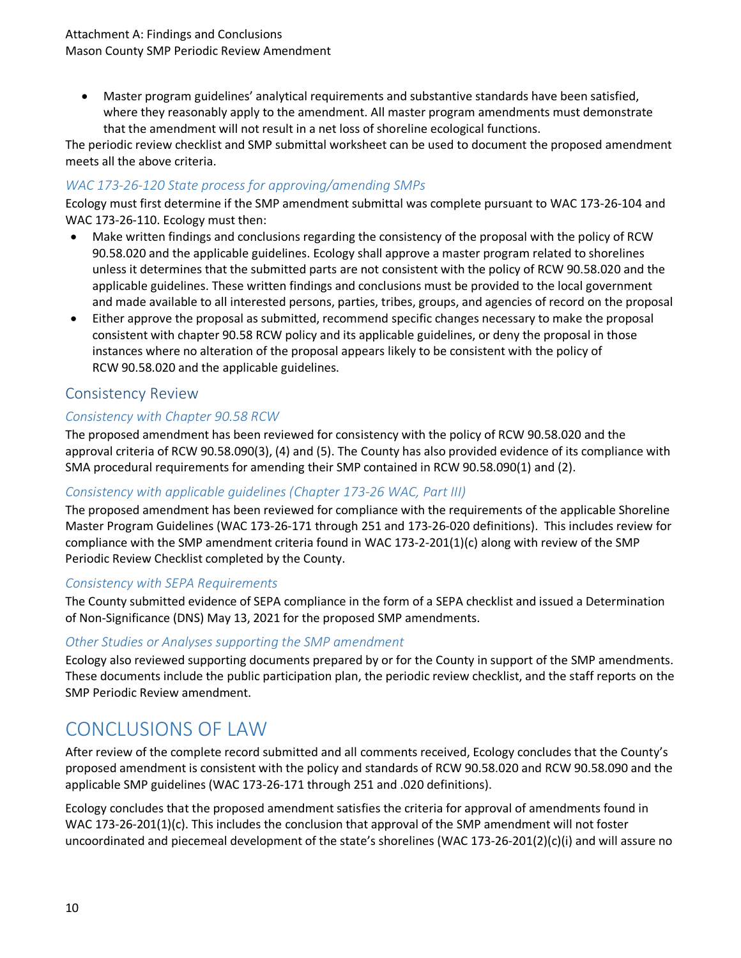• Master program guidelines' analytical requirements and substantive standards have been satisfied, where they reasonably apply to the amendment. All master program amendments must demonstrate that the amendment will not result in a net loss of shoreline ecological functions.

The periodic review checklist and SMP submittal worksheet can be used to document the proposed amendment meets all the above criteria.

#### *WAC 173-26-120 State process for approving/amending SMPs*

Ecology must first determine if the SMP amendment submittal was complete pursuant to WAC 173-26-104 and WAC 173-26-110. Ecology must then:

- Make written findings and conclusions regarding the consistency of the proposal with the policy of RCW 90.58.020 and the applicable guidelines. Ecology shall approve a master program related to shorelines unless it determines that the submitted parts are not consistent with the policy of RCW [90.58.020](http://app.leg.wa.gov/RCW/default.aspx?cite=90.58.020) and the applicable guidelines. These written findings and conclusions must be provided to the local government and made available to all interested persons, parties, tribes, groups, and agencies of record on the proposal
- Either approve the proposal as submitted, recommend specific changes necessary to make the proposal consistent with chapter [90.58](http://app.leg.wa.gov/RCW/default.aspx?cite=90.58) RCW policy and its applicable guidelines, or deny the proposal in those instances where no alteration of the proposal appears likely to be consistent with the policy of RCW [90.58.020](http://app.leg.wa.gov/RCW/default.aspx?cite=90.58.020) and the applicable guidelines.

# Consistency Review

## *Consistency with Chapter 90.58 RCW*

The proposed amendment has been reviewed for consistency with the policy of RCW 90.58.020 and the approval criteria of RCW 90.58.090(3), (4) and (5). The County has also provided evidence of its compliance with SMA procedural requirements for amending their SMP contained in RCW 90.58.090(1) and (2).

## *Consistency with applicable guidelines (Chapter 173-26 WAC, Part III)*

The proposed amendment has been reviewed for compliance with the requirements of the applicable Shoreline Master Program Guidelines (WAC 173-26-171 through 251 and 173-26-020 definitions). This includes review for compliance with the SMP amendment criteria found in WAC 173-2-201(1)(c) along with review of the SMP Periodic Review Checklist completed by the County.

#### *Consistency with SEPA Requirements*

The County submitted evidence of SEPA compliance in the form of a SEPA checklist and issued a Determination of Non-Significance (DNS) May 13, 2021 for the proposed SMP amendments.

#### *Other Studies or Analyses supporting the SMP amendment*

Ecology also reviewed supporting documents prepared by or for the County in support of the SMP amendments. These documents include the public participation plan, the periodic review checklist, and the staff reports on the SMP Periodic Review amendment.

# CONCLUSIONS OF LAW

After review of the complete record submitted and all comments received, Ecology concludes that the County's proposed amendment is consistent with the policy and standards of RCW 90.58.020 and RCW 90.58.090 and the applicable SMP guidelines (WAC 173-26-171 through 251 and .020 definitions).

Ecology concludes that the proposed amendment satisfies the criteria for approval of amendments found in WAC 173-26-201(1)(c). This includes the conclusion that approval of the SMP amendment will not foster uncoordinated and piecemeal development of the state's shorelines (WAC 173-26-201(2)(c)(i) and will assure no